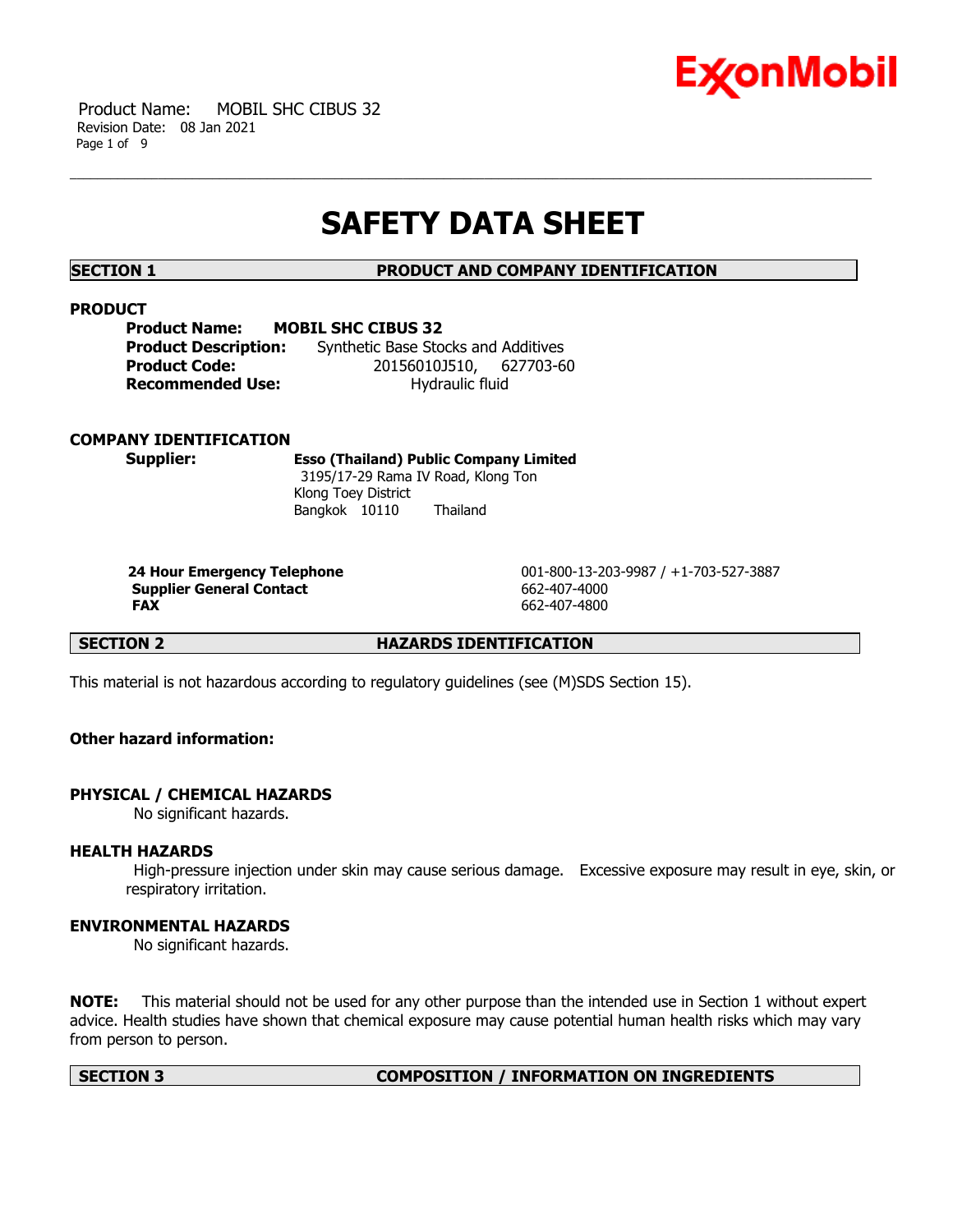

 Product Name: MOBIL SHC CIBUS 32 Revision Date: 08 Jan 2021 Page 1 of 9

# **SAFETY DATA SHEET**

**SECTION 1 PRODUCT AND COMPANY IDENTIFICATION**

### **PRODUCT**

**Product Name: MOBIL SHC CIBUS 32 Product Description:** Synthetic Base Stocks and Additives **Product Code:** 20156010J510, 627703-60 **Recommended Use:** Hydraulic fluid

# **COMPANY IDENTIFICATION**

**Supplier: Esso (Thailand) Public Company Limited** 3195/17-29 Rama IV Road, Klong Ton Klong Toey District Bangkok 10110 Thailand

**Supplier General Contact** 662-407-4000 **FAX** 662-407-4800

 **24 Hour Emergency Telephone** 001-800-13-203-9987 / +1-703-527-3887

**SECTION 2 HAZARDS IDENTIFICATION** 

This material is not hazardous according to regulatory guidelines (see (M)SDS Section 15).

# **Other hazard information:**

# **PHYSICAL / CHEMICAL HAZARDS**

No significant hazards.

# **HEALTH HAZARDS**

 High-pressure injection under skin may cause serious damage. Excessive exposure may result in eye, skin, or respiratory irritation.

# **ENVIRONMENTAL HAZARDS**

No significant hazards.

**NOTE:** This material should not be used for any other purpose than the intended use in Section 1 without expert advice. Health studies have shown that chemical exposure may cause potential human health risks which may vary from person to person.

#### **SECTION 3 COMPOSITION / INFORMATION ON INGREDIENTS**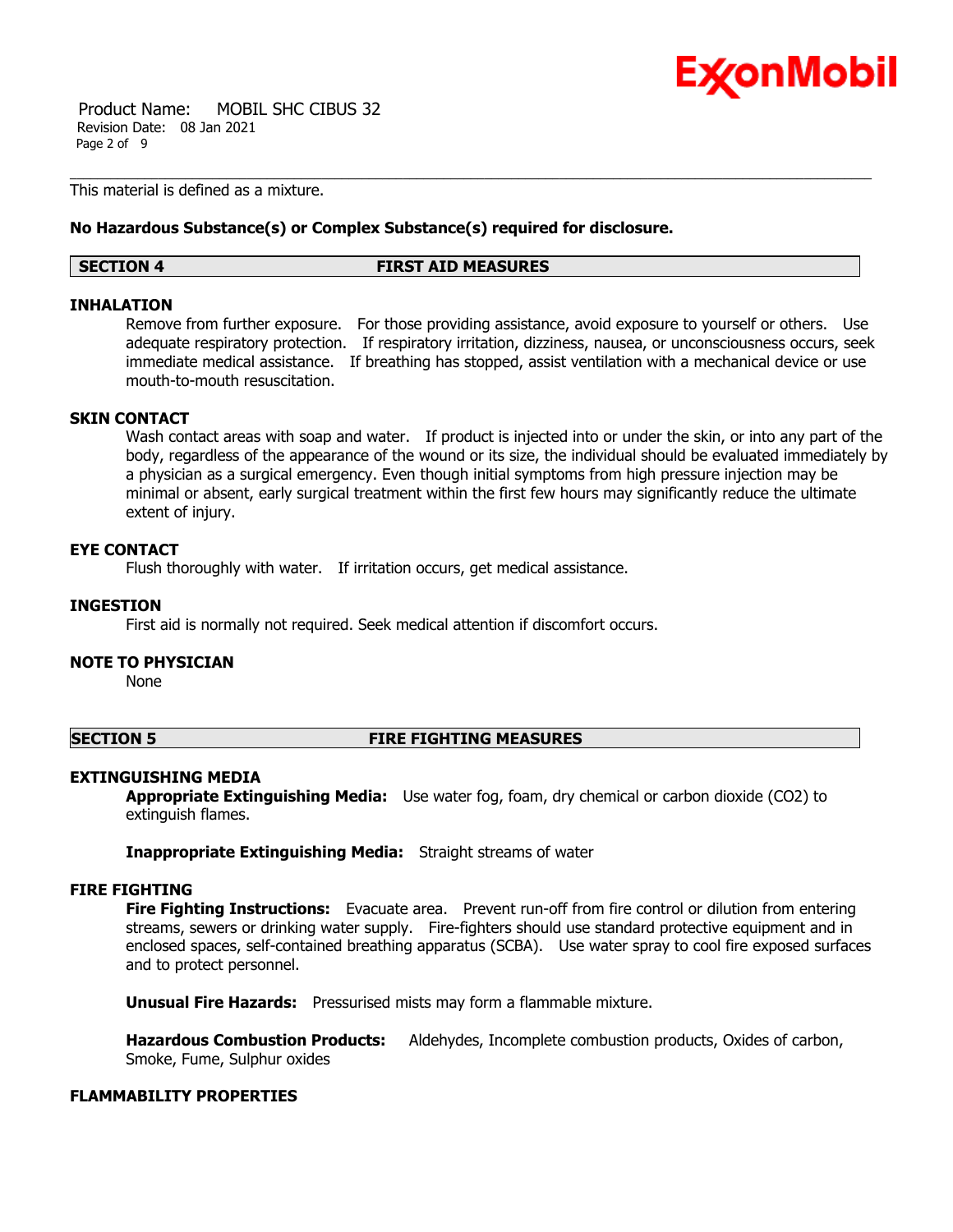

 Product Name: MOBIL SHC CIBUS 32 Revision Date: 08 Jan 2021 Page 2 of 9

This material is defined as a mixture.

### **No Hazardous Substance(s) or Complex Substance(s) required for disclosure.**

#### **SECTION 4 FIRST AID MEASURES**

### **INHALATION**

Remove from further exposure. For those providing assistance, avoid exposure to yourself or others. Use adequate respiratory protection. If respiratory irritation, dizziness, nausea, or unconsciousness occurs, seek immediate medical assistance. If breathing has stopped, assist ventilation with a mechanical device or use mouth-to-mouth resuscitation.

### **SKIN CONTACT**

Wash contact areas with soap and water. If product is injected into or under the skin, or into any part of the body, regardless of the appearance of the wound or its size, the individual should be evaluated immediately by a physician as a surgical emergency. Even though initial symptoms from high pressure injection may be minimal or absent, early surgical treatment within the first few hours may significantly reduce the ultimate extent of injury.

### **EYE CONTACT**

Flush thoroughly with water. If irritation occurs, get medical assistance.

### **INGESTION**

First aid is normally not required. Seek medical attention if discomfort occurs.

# **NOTE TO PHYSICIAN**

None

### **SECTION 5 FIRE FIGHTING MEASURES**

# **EXTINGUISHING MEDIA**

**Appropriate Extinguishing Media:** Use water fog, foam, dry chemical or carbon dioxide (CO2) to extinguish flames.

**Inappropriate Extinguishing Media:** Straight streams of water

# **FIRE FIGHTING**

**Fire Fighting Instructions:** Evacuate area. Prevent run-off from fire control or dilution from entering streams, sewers or drinking water supply. Fire-fighters should use standard protective equipment and in enclosed spaces, self-contained breathing apparatus (SCBA). Use water spray to cool fire exposed surfaces and to protect personnel.

**Unusual Fire Hazards:** Pressurised mists may form a flammable mixture.

**Hazardous Combustion Products:** Aldehydes, Incomplete combustion products, Oxides of carbon, Smoke, Fume, Sulphur oxides

### **FLAMMABILITY PROPERTIES**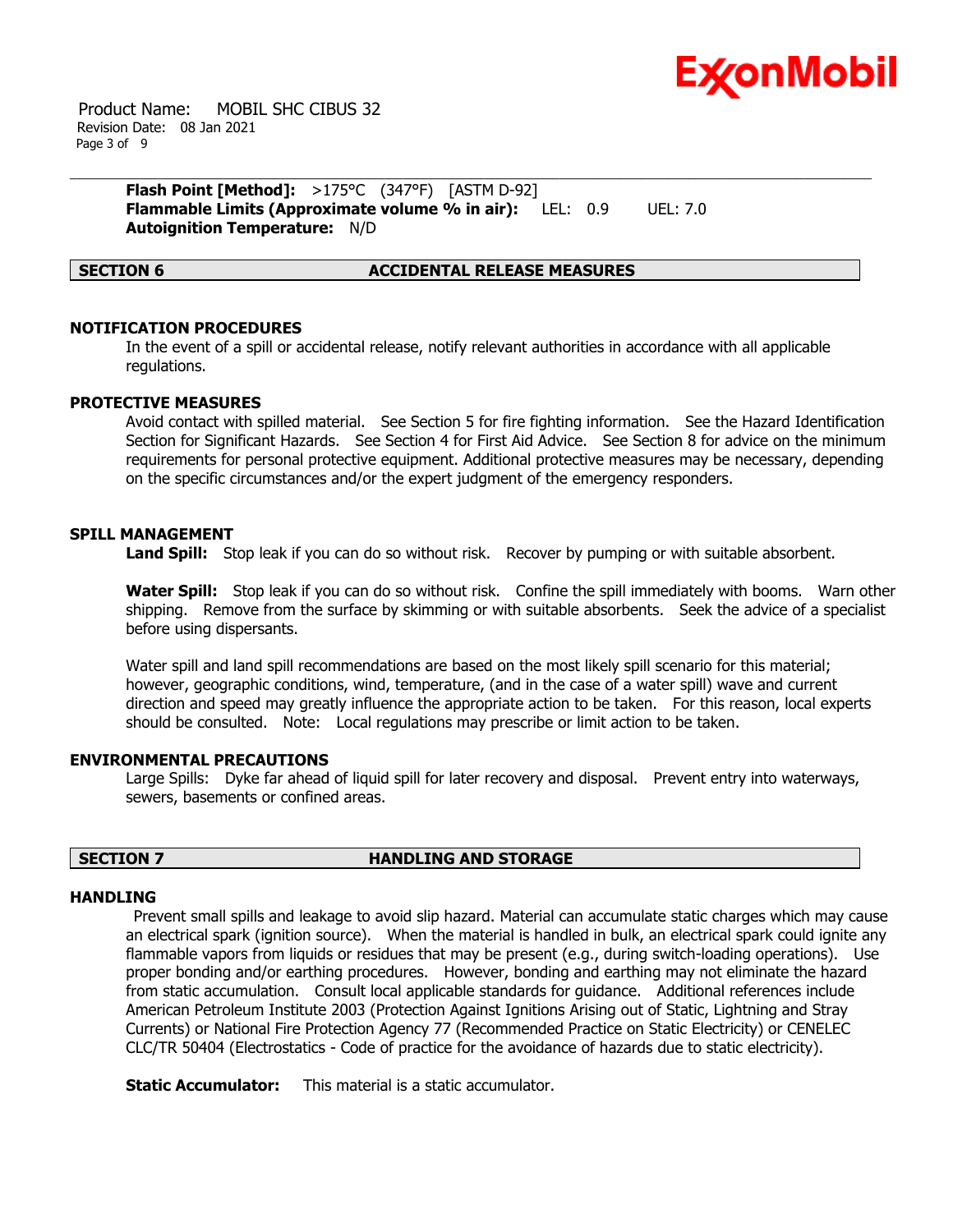

 Product Name: MOBIL SHC CIBUS 32 Revision Date: 08 Jan 2021 Page 3 of 9

> **Flash Point [Method]:** >175°C (347°F) [ASTM D-92] **Flammable Limits (Approximate volume % in air):** LEL: 0.9 UEL: 7.0 **Autoignition Temperature:** N/D

### **SECTION 6 ACCIDENTAL RELEASE MEASURES**

### **NOTIFICATION PROCEDURES**

In the event of a spill or accidental release, notify relevant authorities in accordance with all applicable regulations.

### **PROTECTIVE MEASURES**

Avoid contact with spilled material. See Section 5 for fire fighting information. See the Hazard Identification Section for Significant Hazards. See Section 4 for First Aid Advice. See Section 8 for advice on the minimum requirements for personal protective equipment. Additional protective measures may be necessary, depending on the specific circumstances and/or the expert judgment of the emergency responders.

### **SPILL MANAGEMENT**

Land Spill: Stop leak if you can do so without risk. Recover by pumping or with suitable absorbent.

**Water Spill:** Stop leak if you can do so without risk. Confine the spill immediately with booms. Warn other shipping. Remove from the surface by skimming or with suitable absorbents. Seek the advice of a specialist before using dispersants.

Water spill and land spill recommendations are based on the most likely spill scenario for this material; however, geographic conditions, wind, temperature, (and in the case of a water spill) wave and current direction and speed may greatly influence the appropriate action to be taken. For this reason, local experts should be consulted. Note: Local regulations may prescribe or limit action to be taken.

#### **ENVIRONMENTAL PRECAUTIONS**

Large Spills: Dyke far ahead of liquid spill for later recovery and disposal. Prevent entry into waterways, sewers, basements or confined areas.

### **SECTION 7 HANDLING AND STORAGE**

#### **HANDLING**

 Prevent small spills and leakage to avoid slip hazard. Material can accumulate static charges which may cause an electrical spark (ignition source). When the material is handled in bulk, an electrical spark could ignite any flammable vapors from liquids or residues that may be present (e.g., during switch-loading operations). Use proper bonding and/or earthing procedures. However, bonding and earthing may not eliminate the hazard from static accumulation. Consult local applicable standards for guidance. Additional references include American Petroleum Institute 2003 (Protection Against Ignitions Arising out of Static, Lightning and Stray Currents) or National Fire Protection Agency 77 (Recommended Practice on Static Electricity) or CENELEC CLC/TR 50404 (Electrostatics - Code of practice for the avoidance of hazards due to static electricity).

**Static Accumulator:** This material is a static accumulator.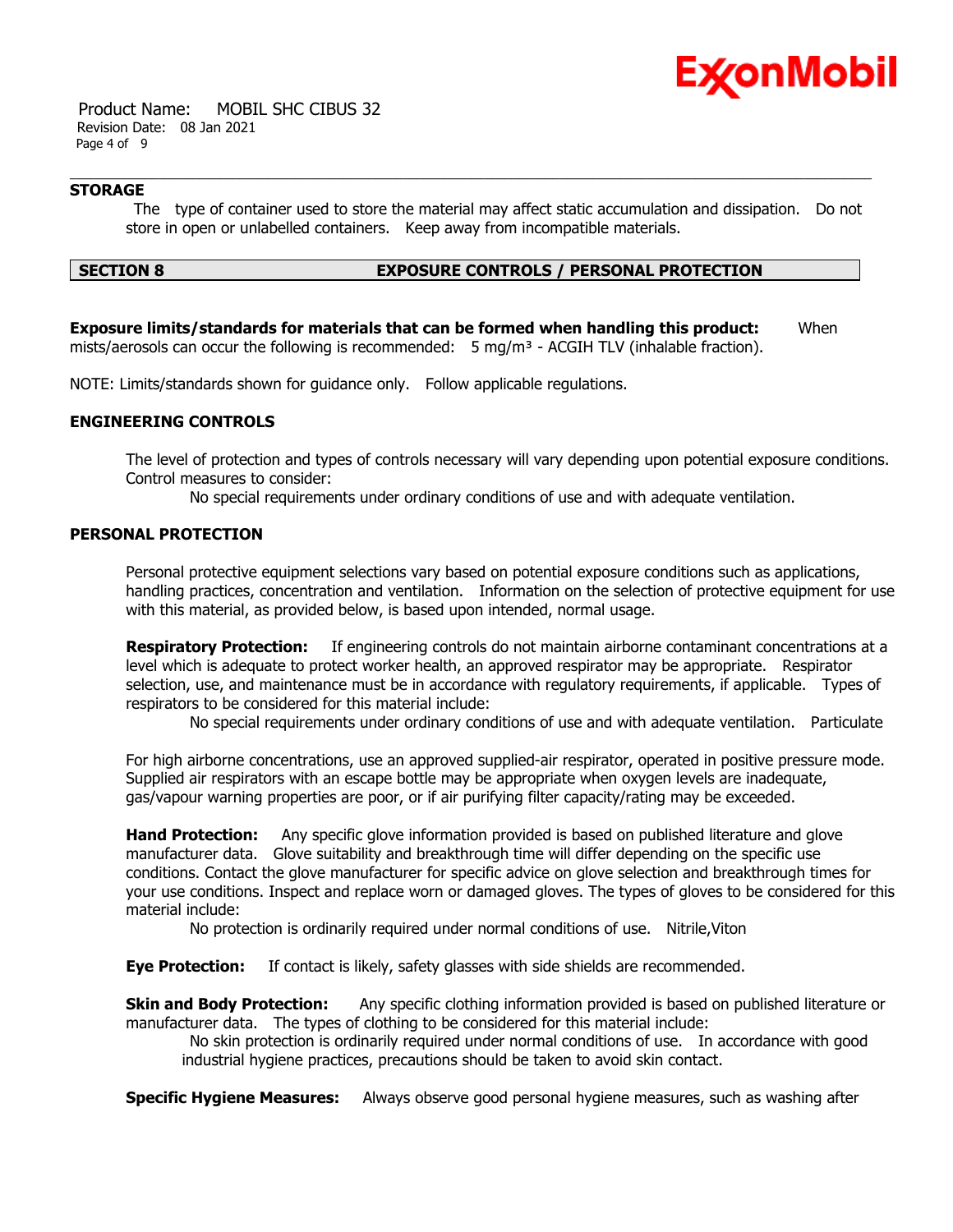

 Product Name: MOBIL SHC CIBUS 32 Revision Date: 08 Jan 2021 Page 4 of 9

# **STORAGE**

 The type of container used to store the material may affect static accumulation and dissipation. Do not store in open or unlabelled containers. Keep away from incompatible materials.

# **SECTION 8 EXPOSURE CONTROLS / PERSONAL PROTECTION**

**Exposure limits/standards for materials that can be formed when handling this product:** When mists/aerosols can occur the following is recommended:  $5 \text{ mg/m}^3$  - ACGIH TLV (inhalable fraction).

NOTE: Limits/standards shown for guidance only. Follow applicable regulations.

# **ENGINEERING CONTROLS**

The level of protection and types of controls necessary will vary depending upon potential exposure conditions. Control measures to consider:

No special requirements under ordinary conditions of use and with adequate ventilation.

# **PERSONAL PROTECTION**

Personal protective equipment selections vary based on potential exposure conditions such as applications, handling practices, concentration and ventilation. Information on the selection of protective equipment for use with this material, as provided below, is based upon intended, normal usage.

**Respiratory Protection:** If engineering controls do not maintain airborne contaminant concentrations at a level which is adequate to protect worker health, an approved respirator may be appropriate. Respirator selection, use, and maintenance must be in accordance with regulatory requirements, if applicable. Types of respirators to be considered for this material include:

No special requirements under ordinary conditions of use and with adequate ventilation. Particulate

For high airborne concentrations, use an approved supplied-air respirator, operated in positive pressure mode. Supplied air respirators with an escape bottle may be appropriate when oxygen levels are inadequate, gas/vapour warning properties are poor, or if air purifying filter capacity/rating may be exceeded.

**Hand Protection:** Any specific glove information provided is based on published literature and glove manufacturer data. Glove suitability and breakthrough time will differ depending on the specific use conditions. Contact the glove manufacturer for specific advice on glove selection and breakthrough times for your use conditions. Inspect and replace worn or damaged gloves. The types of gloves to be considered for this material include:

No protection is ordinarily required under normal conditions of use. Nitrile,Viton

**Eye Protection:** If contact is likely, safety glasses with side shields are recommended.

**Skin and Body Protection:** Any specific clothing information provided is based on published literature or manufacturer data. The types of clothing to be considered for this material include:

 No skin protection is ordinarily required under normal conditions of use. In accordance with good industrial hygiene practices, precautions should be taken to avoid skin contact.

**Specific Hygiene Measures:** Always observe good personal hygiene measures, such as washing after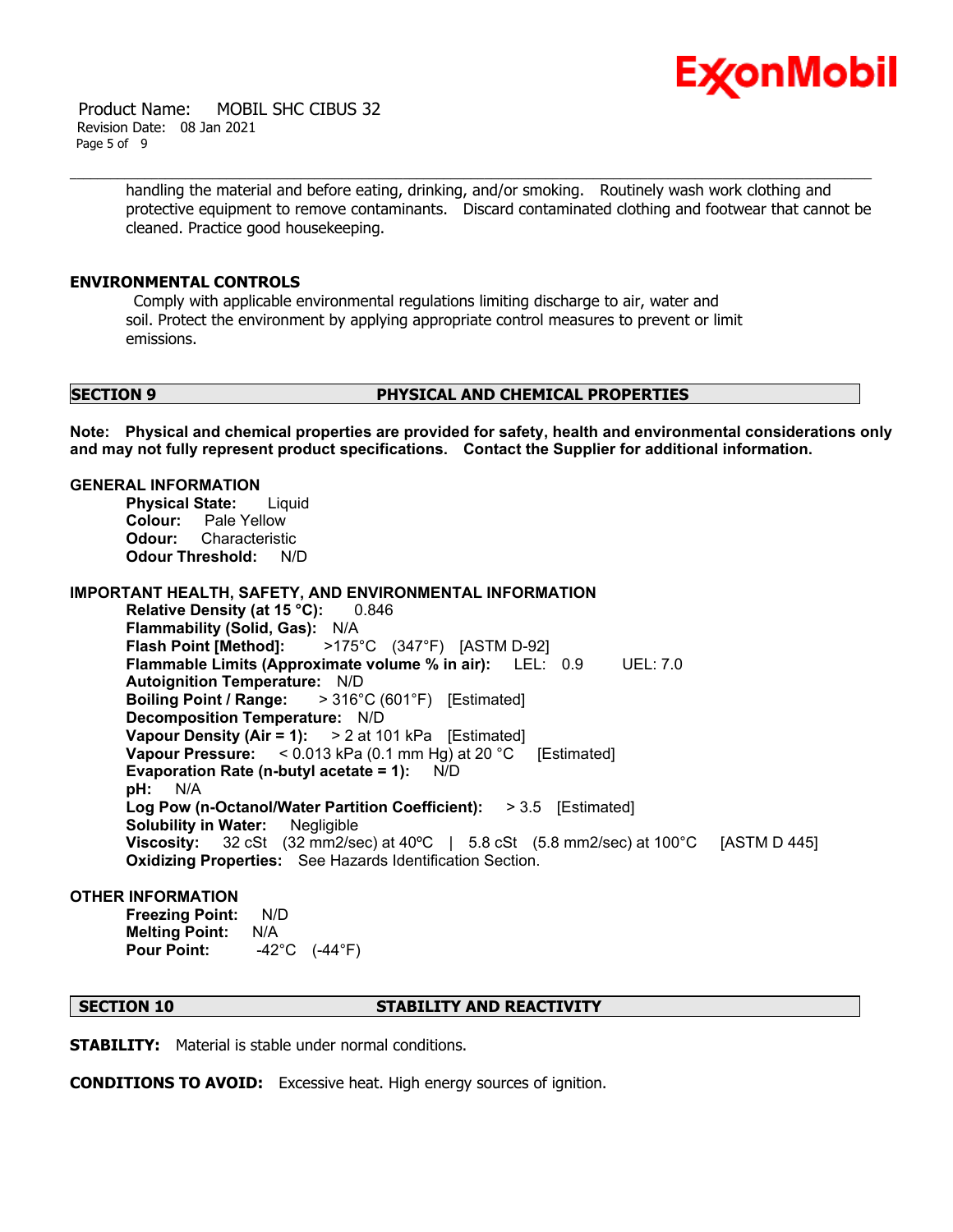

 Product Name: MOBIL SHC CIBUS 32 Revision Date: 08 Jan 2021 Page 5 of 9

> handling the material and before eating, drinking, and/or smoking. Routinely wash work clothing and protective equipment to remove contaminants. Discard contaminated clothing and footwear that cannot be cleaned. Practice good housekeeping.

# **ENVIRONMENTAL CONTROLS**

 Comply with applicable environmental regulations limiting discharge to air, water and soil. Protect the environment by applying appropriate control measures to prevent or limit emissions.

# **SECTION 9 PHYSICAL AND CHEMICAL PROPERTIES**

**Note: Physical and chemical properties are provided for safety, health and environmental considerations only and may not fully represent product specifications. Contact the Supplier for additional information.**

#### **GENERAL INFORMATION**

**Physical State:** Liquid **Colour:** Pale Yellow **Odour:** Characteristic **Odour Threshold:** N/D

**IMPORTANT HEALTH, SAFETY, AND ENVIRONMENTAL INFORMATION**

**Relative Density (at 15 °C):** 0.846 **Flammability (Solid, Gas):** N/A **Flash Point [Method]:** >175°C (347°F) [ASTM D-92] **Flammable Limits (Approximate volume % in air):** LEL: 0.9 UEL: 7.0 **Autoignition Temperature:** N/D **Boiling Point / Range:** > 316°C (601°F) [Estimated] **Decomposition Temperature:** N/D **Vapour Density (Air = 1):** > 2 at 101 kPa [Estimated] **Vapour Pressure:** < 0.013 kPa (0.1 mm Hg) at 20 °C [Estimated] **Evaporation Rate (n-butyl acetate = 1):** N/D **pH:** N/A **Log Pow (n-Octanol/Water Partition Coefficient):** > 3.5 [Estimated] **Solubility in Water:** Negligible **Viscosity:** 32 cSt (32 mm2/sec) at 40°C | 5.8 cSt (5.8 mm2/sec) at 100°C [ASTM D 445] **Oxidizing Properties:** See Hazards Identification Section.

### **OTHER INFORMATION**

**Freezing Point:** N/D **Melting Point:** N/A **Pour Point:** -42°C (-44°F)

### **SECTION 10 STABILITY AND REACTIVITY**

**STABILITY:** Material is stable under normal conditions.

**CONDITIONS TO AVOID:** Excessive heat. High energy sources of ignition.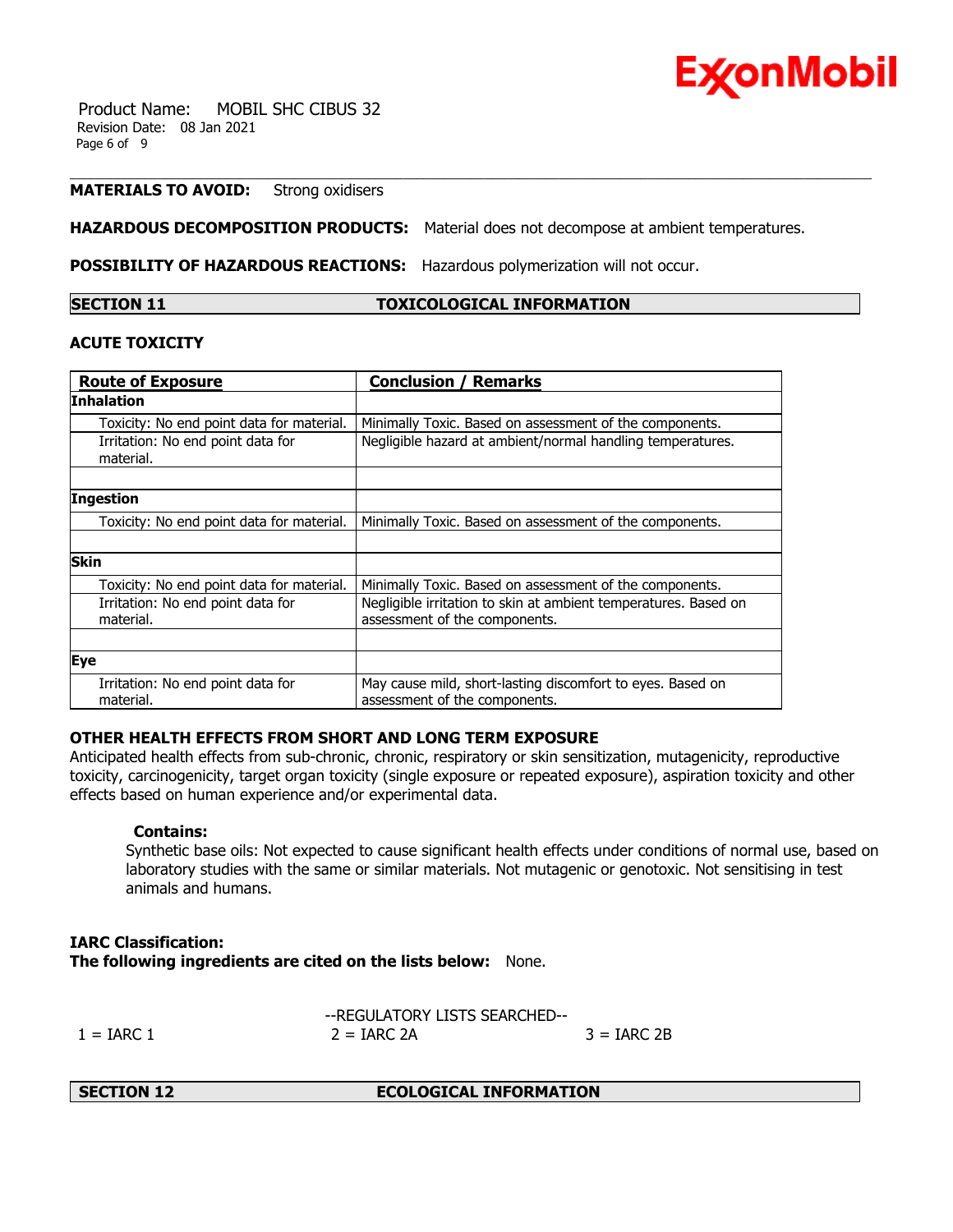

 Product Name: MOBIL SHC CIBUS 32 Revision Date: 08 Jan 2021 Page 6 of 9

# **MATERIALS TO AVOID:** Strong oxidisers

**HAZARDOUS DECOMPOSITION PRODUCTS:** Material does not decompose at ambient temperatures.

**POSSIBILITY OF HAZARDOUS REACTIONS:** Hazardous polymerization will not occur.

**SECTION 11 TOXICOLOGICAL INFORMATION**

# **ACUTE TOXICITY**

| <b>Route of Exposure</b>                       | <b>Conclusion / Remarks</b>                                                                      |  |
|------------------------------------------------|--------------------------------------------------------------------------------------------------|--|
| <b>Inhalation</b>                              |                                                                                                  |  |
| Toxicity: No end point data for material.      | Minimally Toxic. Based on assessment of the components.                                          |  |
| Irritation: No end point data for<br>material. | Negligible hazard at ambient/normal handling temperatures.                                       |  |
|                                                |                                                                                                  |  |
| Ingestion                                      |                                                                                                  |  |
| Toxicity: No end point data for material.      | Minimally Toxic. Based on assessment of the components.                                          |  |
|                                                |                                                                                                  |  |
| <b>Skin</b>                                    |                                                                                                  |  |
| Toxicity: No end point data for material.      | Minimally Toxic. Based on assessment of the components.                                          |  |
| Irritation: No end point data for<br>material. | Negligible irritation to skin at ambient temperatures. Based on<br>assessment of the components. |  |
|                                                |                                                                                                  |  |
| Eye                                            |                                                                                                  |  |
| Irritation: No end point data for<br>material. | May cause mild, short-lasting discomfort to eyes. Based on<br>assessment of the components.      |  |

# **OTHER HEALTH EFFECTS FROM SHORT AND LONG TERM EXPOSURE**

Anticipated health effects from sub-chronic, chronic, respiratory or skin sensitization, mutagenicity, reproductive toxicity, carcinogenicity, target organ toxicity (single exposure or repeated exposure), aspiration toxicity and other effects based on human experience and/or experimental data.

# **Contains:**

Synthetic base oils: Not expected to cause significant health effects under conditions of normal use, based on laboratory studies with the same or similar materials. Not mutagenic or genotoxic. Not sensitising in test animals and humans.

# **IARC Classification: The following ingredients are cited on the lists below:** None.

|                | --REGULATORY LISTS SEARCHED-- |               |
|----------------|-------------------------------|---------------|
| $1 =$ IARC $1$ | $2 = IARC 2A$                 | $3 = IARC 2B$ |

**SECTION 12 ECOLOGICAL INFORMATION**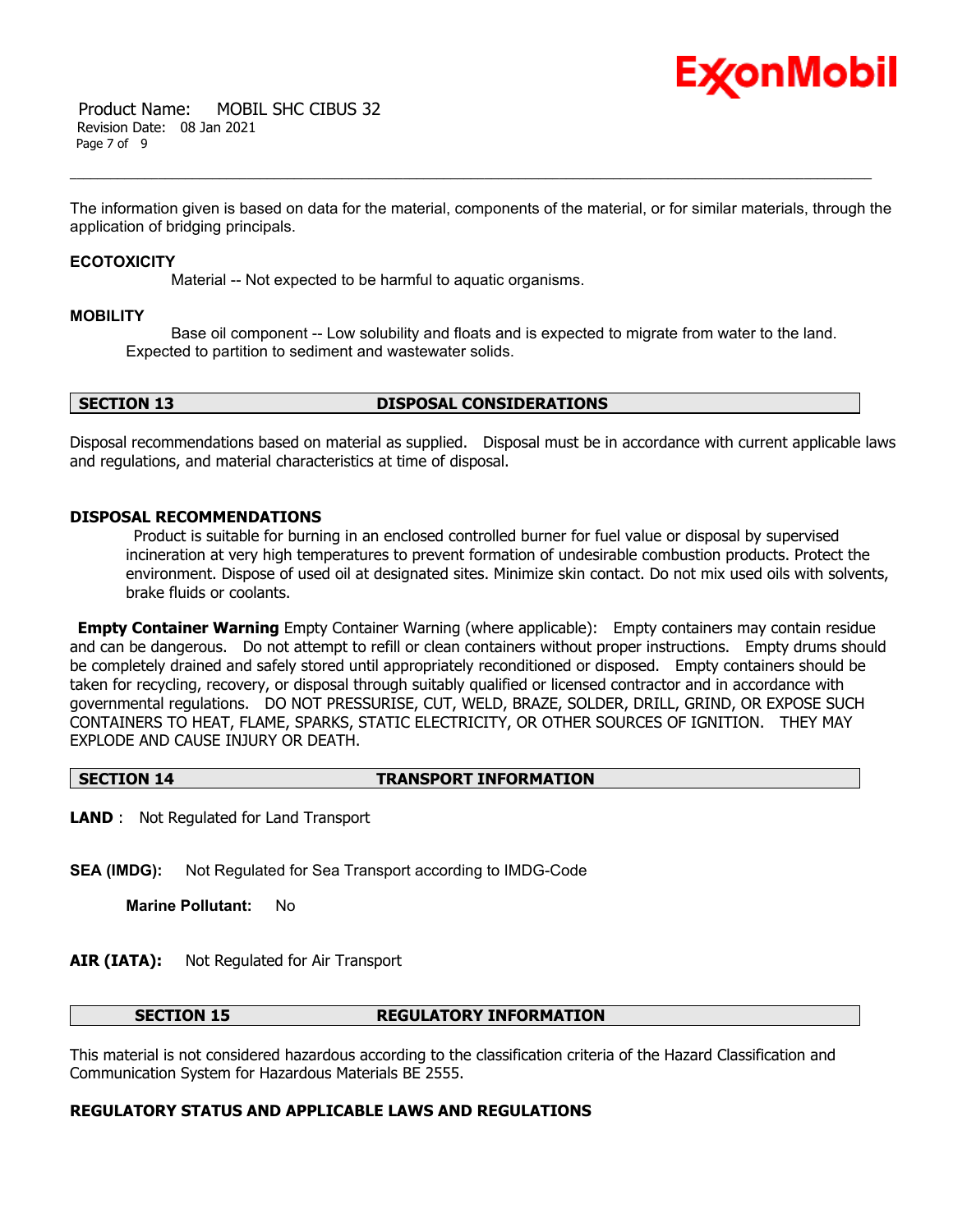

 Product Name: MOBIL SHC CIBUS 32 Revision Date: 08 Jan 2021 Page 7 of 9

The information given is based on data for the material, components of the material, or for similar materials, through the application of bridging principals.

#### **ECOTOXICITY**

Material -- Not expected to be harmful to aquatic organisms.

#### **MOBILITY**

 Base oil component -- Low solubility and floats and is expected to migrate from water to the land. Expected to partition to sediment and wastewater solids.

# **SECTION 13 DISPOSAL CONSIDERATIONS**

Disposal recommendations based on material as supplied. Disposal must be in accordance with current applicable laws and regulations, and material characteristics at time of disposal.

# **DISPOSAL RECOMMENDATIONS**

 Product is suitable for burning in an enclosed controlled burner for fuel value or disposal by supervised incineration at very high temperatures to prevent formation of undesirable combustion products. Protect the environment. Dispose of used oil at designated sites. Minimize skin contact. Do not mix used oils with solvents, brake fluids or coolants.

**Empty Container Warning** Empty Container Warning (where applicable): Empty containers may contain residue and can be dangerous. Do not attempt to refill or clean containers without proper instructions. Empty drums should be completely drained and safely stored until appropriately reconditioned or disposed. Empty containers should be taken for recycling, recovery, or disposal through suitably qualified or licensed contractor and in accordance with governmental regulations. DO NOT PRESSURISE, CUT, WELD, BRAZE, SOLDER, DRILL, GRIND, OR EXPOSE SUCH CONTAINERS TO HEAT, FLAME, SPARKS, STATIC ELECTRICITY, OR OTHER SOURCES OF IGNITION. THEY MAY EXPLODE AND CAUSE INJURY OR DEATH.

#### **SECTION 14 TRANSPORT INFORMATION**

**LAND** : Not Regulated for Land Transport

**SEA (IMDG):** Not Regulated for Sea Transport according to IMDG-Code

**Marine Pollutant:** No

# **AIR (IATA):** Not Regulated for Air Transport

#### **SECTION 15 REGULATORY INFORMATION**

This material is not considered hazardous according to the classification criteria of the Hazard Classification and Communication System for Hazardous Materials BE 2555.

# **REGULATORY STATUS AND APPLICABLE LAWS AND REGULATIONS**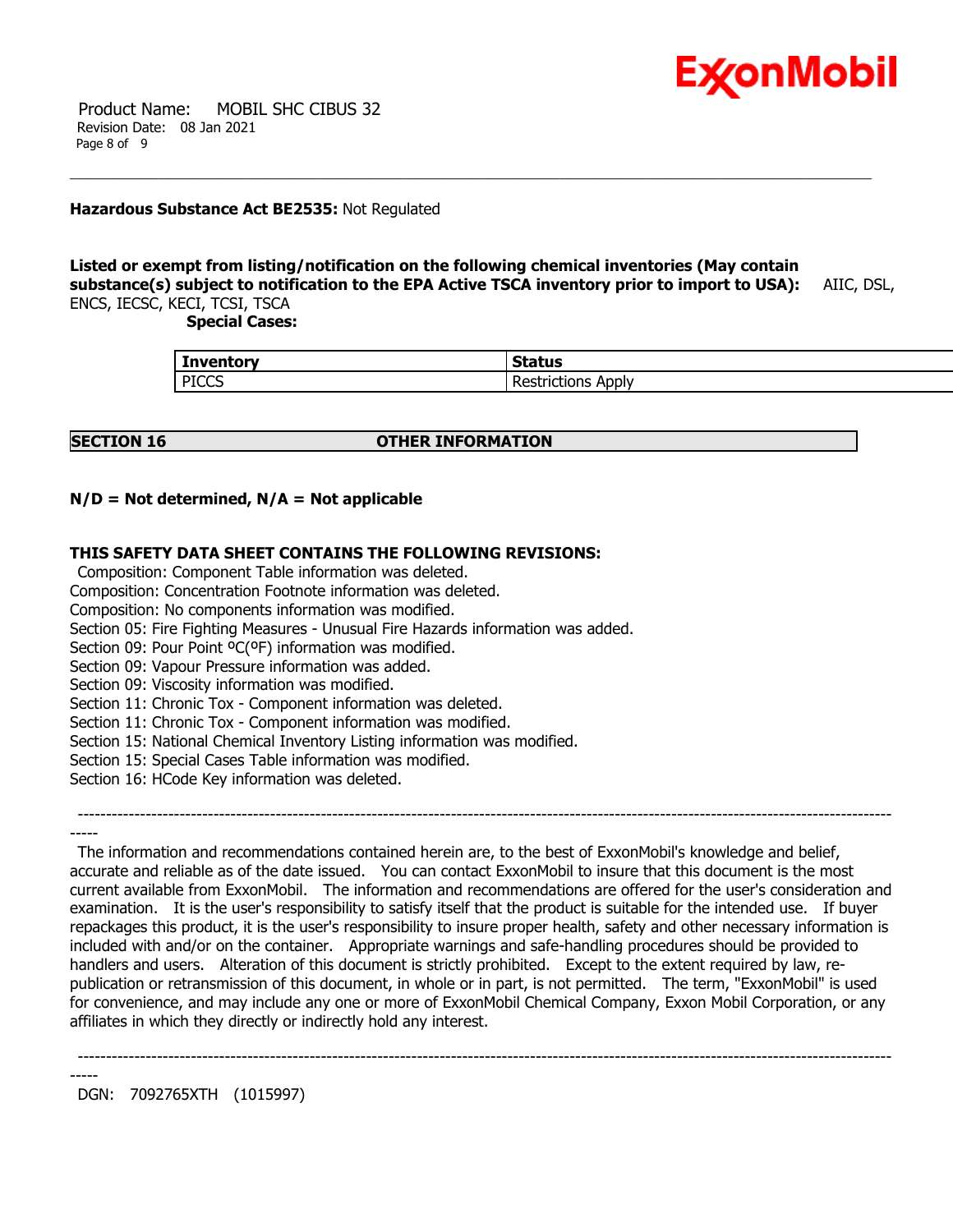

 Product Name: MOBIL SHC CIBUS 32 Revision Date: 08 Jan 2021 Page 8 of 9

# **Hazardous Substance Act BE2535:** Not Regulated

# **Listed or exempt from listing/notification on the following chemical inventories (May contain substance(s) subject to notification to the EPA Active TSCA inventory prior to import to USA):** AIIC, DSL, ENCS, IECSC, KECI, TCSI, TSCA

 **Special Cases:**

| <b>Inventory</b> | $C+$<br>Status            |
|------------------|---------------------------|
| <b>PICCS</b>     | . .<br>-<br>Apply<br>uvus |

-----

# **SECTION 16 OTHER INFORMATION**

# **N/D = Not determined, N/A = Not applicable**

# **THIS SAFETY DATA SHEET CONTAINS THE FOLLOWING REVISIONS:**

Composition: Component Table information was deleted.

Composition: Concentration Footnote information was deleted.

Composition: No components information was modified.

Section 05: Fire Fighting Measures - Unusual Fire Hazards information was added.

Section 09: Pour Point ºC(ºF) information was modified.

Section 09: Vapour Pressure information was added.

Section 09: Viscosity information was modified.

Section 11: Chronic Tox - Component information was deleted.

Section 11: Chronic Tox - Component information was modified.

Section 15: National Chemical Inventory Listing information was modified.

Section 15: Special Cases Table information was modified.

Section 16: HCode Key information was deleted.

------------------------------------------------------------------------------------------------------------------------------------------------

 The information and recommendations contained herein are, to the best of ExxonMobil's knowledge and belief, accurate and reliable as of the date issued. You can contact ExxonMobil to insure that this document is the most current available from ExxonMobil. The information and recommendations are offered for the user's consideration and examination. It is the user's responsibility to satisfy itself that the product is suitable for the intended use. If buyer repackages this product, it is the user's responsibility to insure proper health, safety and other necessary information is included with and/or on the container. Appropriate warnings and safe-handling procedures should be provided to handlers and users. Alteration of this document is strictly prohibited. Except to the extent required by law, republication or retransmission of this document, in whole or in part, is not permitted. The term, "ExxonMobil" is used for convenience, and may include any one or more of ExxonMobil Chemical Company, Exxon Mobil Corporation, or any affiliates in which they directly or indirectly hold any interest.

------------------------------------------------------------------------------------------------------------------------------------------------

----- DGN: 7092765XTH (1015997)